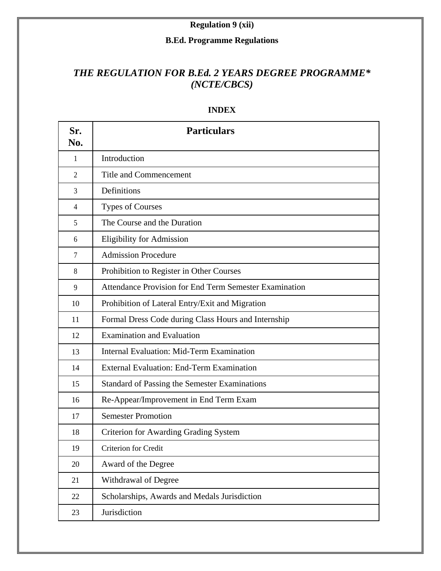### **Regulation 9 (xii)**

#### **B.Ed. Programme Regulations**

# *THE REGULATION FOR B.Ed. 2 YEARS DEGREE PROGRAMME\* (NCTE/CBCS)*

| Sr.<br>No.     | <b>Particulars</b>                                     |
|----------------|--------------------------------------------------------|
| $\mathbf{1}$   | Introduction                                           |
| $\overline{2}$ | <b>Title and Commencement</b>                          |
| 3              | Definitions                                            |
| $\overline{4}$ | <b>Types of Courses</b>                                |
| 5              | The Course and the Duration                            |
| 6              | <b>Eligibility for Admission</b>                       |
| $\overline{7}$ | <b>Admission Procedure</b>                             |
| 8              | Prohibition to Register in Other Courses               |
| 9              | Attendance Provision for End Term Semester Examination |
| 10             | Prohibition of Lateral Entry/Exit and Migration        |
| 11             | Formal Dress Code during Class Hours and Internship    |
| 12             | <b>Examination and Evaluation</b>                      |
| 13             | Internal Evaluation: Mid-Term Examination              |
| 14             | <b>External Evaluation: End-Term Examination</b>       |
| 15             | <b>Standard of Passing the Semester Examinations</b>   |
| 16             | Re-Appear/Improvement in End Term Exam                 |
| 17             | <b>Semester Promotion</b>                              |
| 18             | <b>Criterion for Awarding Grading System</b>           |
| 19             | Criterion for Credit                                   |
| 20             | Award of the Degree                                    |
| 21             | Withdrawal of Degree                                   |
| 22             | Scholarships, Awards and Medals Jurisdiction           |
| 23             | Jurisdiction                                           |

#### **INDEX**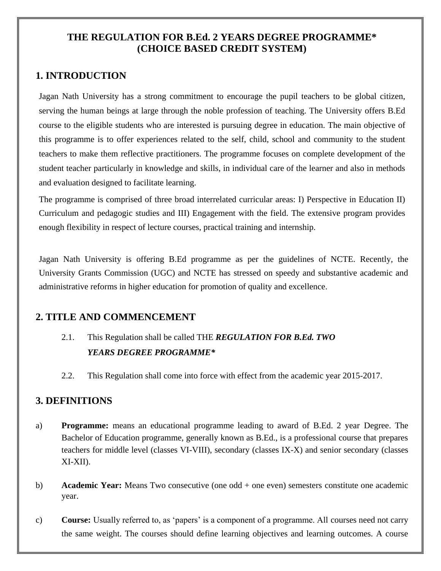## **THE REGULATION FOR B.Ed. 2 YEARS DEGREE PROGRAMME\* (CHOICE BASED CREDIT SYSTEM)**

# **1. INTRODUCTION**

Jagan Nath University has a strong commitment to encourage the pupil teachers to be global citizen, serving the human beings at large through the noble profession of teaching. The University offers B.Ed course to the eligible students who are interested is pursuing degree in education. The main objective of this programme is to offer experiences related to the self, child, school and community to the student teachers to make them reflective practitioners. The programme focuses on complete development of the student teacher particularly in knowledge and skills, in individual care of the learner and also in methods and evaluation designed to facilitate learning.

The programme is comprised of three broad interrelated curricular areas: I) Perspective in Education II) Curriculum and pedagogic studies and III) Engagement with the field. The extensive program provides enough flexibility in respect of lecture courses, practical training and internship.

Jagan Nath University is offering B.Ed programme as per the guidelines of NCTE. Recently, the University Grants Commission (UGC) and NCTE has stressed on speedy and substantive academic and administrative reforms in higher education for promotion of quality and excellence.

# **2. TITLE AND COMMENCEMENT**

- 2.1. This Regulation shall be called THE *REGULATION FOR B.Ed. TWO YEARS DEGREE PROGRAMME\**
- 2.2. This Regulation shall come into force with effect from the academic year 2015-2017.

### **3. DEFINITIONS**

- a) **Programme:** means an educational programme leading to award of B.Ed. 2 year Degree. The Bachelor of Education programme, generally known as B.Ed., is a professional course that prepares teachers for middle level (classes VI-VIII), secondary (classes IX-X) and senior secondary (classes XI-XII).
- b) **Academic Year:** Means Two consecutive (one odd + one even) semesters constitute one academic year.
- c) **Course:** Usually referred to, as 'papers' is a component of a programme. All courses need not carry the same weight. The courses should define learning objectives and learning outcomes. A course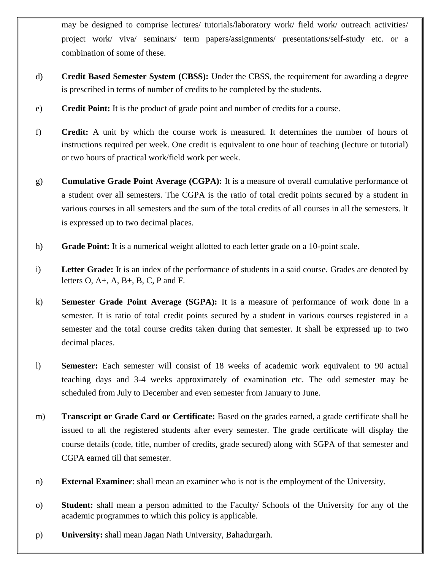may be designed to comprise lectures/ tutorials/laboratory work/ field work/ outreach activities/ project work/ viva/ seminars/ term papers/assignments/ presentations/self-study etc. or a combination of some of these.

- d) **Credit Based Semester System (CBSS):** Under the CBSS, the requirement for awarding a degree is prescribed in terms of number of credits to be completed by the students.
- e) **Credit Point:** It is the product of grade point and number of credits for a course.
- f) **Credit:** A unit by which the course work is measured. It determines the number of hours of instructions required per week. One credit is equivalent to one hour of teaching (lecture or tutorial) or two hours of practical work/field work per week.
- g) **Cumulative Grade Point Average (CGPA):** It is a measure of overall cumulative performance of a student over all semesters. The CGPA is the ratio of total credit points secured by a student in various courses in all semesters and the sum of the total credits of all courses in all the semesters. It is expressed up to two decimal places.
- h) **Grade Point:** It is a numerical weight allotted to each letter grade on a 10-point scale.
- i) **Letter Grade:** It is an index of the performance of students in a said course. Grades are denoted by letters  $O, A+, A, B+, B, C, P$  and F.
- k) **Semester Grade Point Average (SGPA):** It is a measure of performance of work done in a semester. It is ratio of total credit points secured by a student in various courses registered in a semester and the total course credits taken during that semester. It shall be expressed up to two decimal places.
- l) **Semester:** Each semester will consist of 18 weeks of academic work equivalent to 90 actual teaching days and 3-4 weeks approximately of examination etc. The odd semester may be scheduled from July to December and even semester from January to June.
- m) **Transcript or Grade Card or Certificate:** Based on the grades earned, a grade certificate shall be issued to all the registered students after every semester. The grade certificate will display the course details (code, title, number of credits, grade secured) along with SGPA of that semester and CGPA earned till that semester.
- n) **External Examiner**: shall mean an examiner who is not is the employment of the University.
- o) **Student:** shall mean a person admitted to the Faculty/ Schools of the University for any of the academic programmes to which this policy is applicable.
- p) **University:** shall mean Jagan Nath University, Bahadurgarh.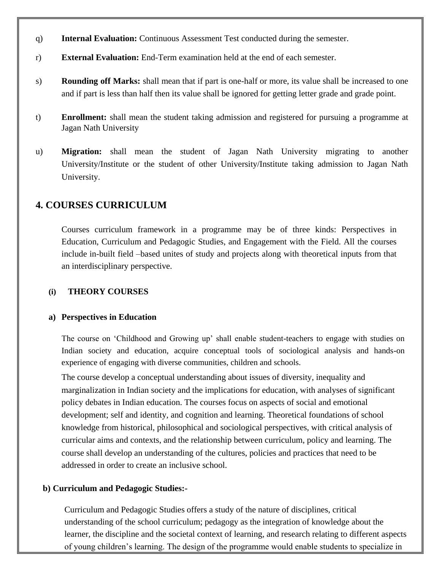- q) **Internal Evaluation:** Continuous Assessment Test conducted during the semester.
- r) **External Evaluation:** End-Term examination held at the end of each semester.
- s) **Rounding off Marks:** shall mean that if part is one-half or more, its value shall be increased to one and if part is less than half then its value shall be ignored for getting letter grade and grade point.
- t) **Enrollment:** shall mean the student taking admission and registered for pursuing a programme at Jagan Nath University
- u) **Migration:** shall mean the student of Jagan Nath University migrating to another University/Institute or the student of other University/Institute taking admission to Jagan Nath University.

### **4. COURSES CURRICULUM**

Courses curriculum framework in a programme may be of three kinds: Perspectives in Education, Curriculum and Pedagogic Studies, and Engagement with the Field. All the courses include in-built field –based unites of study and projects along with theoretical inputs from that an interdisciplinary perspective.

#### **(i) THEORY COURSES**

#### **a) Perspectives in Education**

The course on 'Childhood and Growing up' shall enable student-teachers to engage with studies on Indian society and education, acquire conceptual tools of sociological analysis and hands-on experience of engaging with diverse communities, children and schools.

The course develop a conceptual understanding about issues of diversity, inequality and marginalization in Indian society and the implications for education, with analyses of significant policy debates in Indian education. The courses focus on aspects of social and emotional development; self and identity, and cognition and learning. Theoretical foundations of school knowledge from historical, philosophical and sociological perspectives, with critical analysis of curricular aims and contexts, and the relationship between curriculum, policy and learning. The course shall develop an understanding of the cultures, policies and practices that need to be addressed in order to create an inclusive school.

#### **b) Curriculum and Pedagogic Studies:-**

Curriculum and Pedagogic Studies offers a study of the nature of disciplines, critical understanding of the school curriculum; pedagogy as the integration of knowledge about the learner, the discipline and the societal context of learning, and research relating to different aspects of young children's learning. The design of the programme would enable students to specialize in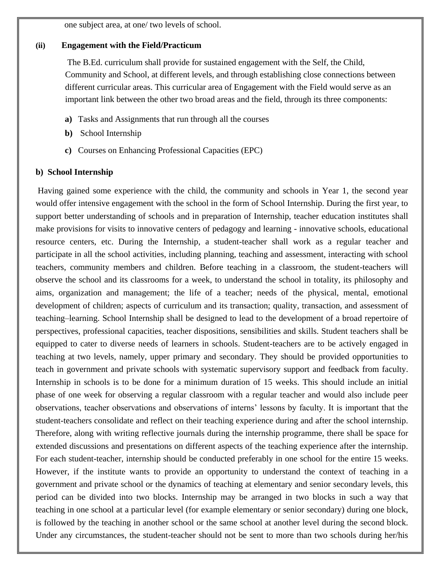one subject area, at one/ two levels of school.

#### **(ii) Engagement with the Field/Practicum**

The B.Ed. curriculum shall provide for sustained engagement with the Self, the Child, Community and School, at different levels, and through establishing close connections between different curricular areas. This curricular area of Engagement with the Field would serve as an important link between the other two broad areas and the field, through its three components:

- **a)** Tasks and Assignments that run through all the courses
- **b)** School Internship
- **c)** Courses on Enhancing Professional Capacities (EPC)

#### **b) School Internship**

Having gained some experience with the child, the community and schools in Year 1, the second year would offer intensive engagement with the school in the form of School Internship. During the first year, to support better understanding of schools and in preparation of Internship, teacher education institutes shall make provisions for visits to innovative centers of pedagogy and learning - innovative schools, educational resource centers, etc. During the Internship, a student-teacher shall work as a regular teacher and participate in all the school activities, including planning, teaching and assessment, interacting with school teachers, community members and children. Before teaching in a classroom, the student-teachers will observe the school and its classrooms for a week, to understand the school in totality, its philosophy and aims, organization and management; the life of a teacher; needs of the physical, mental, emotional development of children; aspects of curriculum and its transaction; quality, transaction, and assessment of teaching–learning. School Internship shall be designed to lead to the development of a broad repertoire of perspectives, professional capacities, teacher dispositions, sensibilities and skills. Student teachers shall be equipped to cater to diverse needs of learners in schools. Student-teachers are to be actively engaged in teaching at two levels, namely, upper primary and secondary. They should be provided opportunities to teach in government and private schools with systematic supervisory support and feedback from faculty. Internship in schools is to be done for a minimum duration of 15 weeks. This should include an initial phase of one week for observing a regular classroom with a regular teacher and would also include peer observations, teacher observations and observations of interns' lessons by faculty. It is important that the student-teachers consolidate and reflect on their teaching experience during and after the school internship. Therefore, along with writing reflective journals during the internship programme, there shall be space for extended discussions and presentations on different aspects of the teaching experience after the internship. For each student-teacher, internship should be conducted preferably in one school for the entire 15 weeks. However, if the institute wants to provide an opportunity to understand the context of teaching in a government and private school or the dynamics of teaching at elementary and senior secondary levels, this period can be divided into two blocks. Internship may be arranged in two blocks in such a way that teaching in one school at a particular level (for example elementary or senior secondary) during one block, is followed by the teaching in another school or the same school at another level during the second block. Under any circumstances, the student-teacher should not be sent to more than two schools during her/his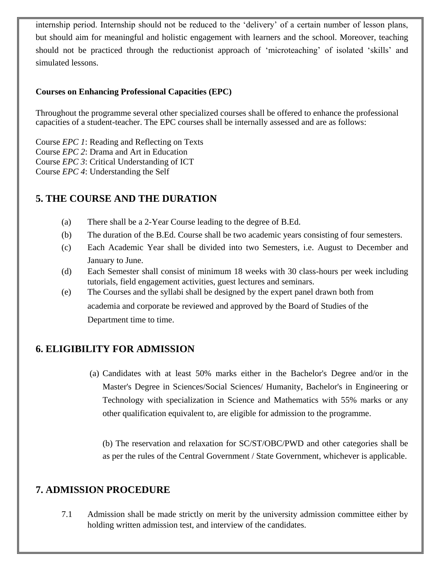internship period. Internship should not be reduced to the 'delivery' of a certain number of lesson plans, but should aim for meaningful and holistic engagement with learners and the school. Moreover, teaching should not be practiced through the reductionist approach of 'microteaching' of isolated 'skills' and simulated lessons.

#### **Courses on Enhancing Professional Capacities (EPC)**

Throughout the programme several other specialized courses shall be offered to enhance the professional capacities of a student-teacher. The EPC courses shall be internally assessed and are as follows:

Course *EPC 1*: Reading and Reflecting on Texts Course *EPC 2*: Drama and Art in Education Course *EPC 3*: Critical Understanding of ICT Course *EPC 4*: Understanding the Self

# **5. THE COURSE AND THE DURATION**

- (a) There shall be a 2-Year Course leading to the degree of B.Ed.
- (b) The duration of the B.Ed. Course shall be two academic years consisting of four semesters.
- (c) Each Academic Year shall be divided into two Semesters, i.e. August to December and January to June.
- (d) Each Semester shall consist of minimum 18 weeks with 30 class-hours per week including tutorials, field engagement activities, guest lectures and seminars.
- (e) The Courses and the syllabi shall be designed by the expert panel drawn both from academia and corporate be reviewed and approved by the Board of Studies of the Department time to time.

# **6. ELIGIBILITY FOR ADMISSION**

(a) Candidates with at least 50% marks either in the Bachelor's Degree and/or in the Master's Degree in Sciences/Social Sciences/ Humanity, Bachelor's in Engineering or Technology with specialization in Science and Mathematics with 55% marks or any other qualification equivalent to, are eligible for admission to the programme.

(b) The reservation and relaxation for SC/ST/OBC/PWD and other categories shall be as per the rules of the Central Government / State Government, whichever is applicable.

# **7. ADMISSION PROCEDURE**

7.1 Admission shall be made strictly on merit by the university admission committee either by holding written admission test, and interview of the candidates.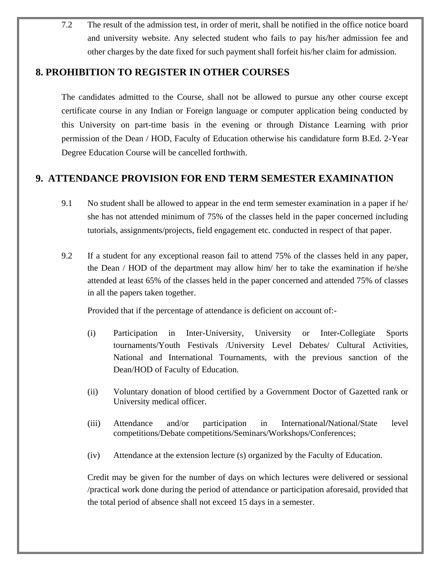7.2 The result of the admission test, in order of merit, shall be notified in the office notice board and university website. Any selected student who fails to pay his/her admission fee and other charges by the date fixed for such payment shall forfeit his/her claim for admission.

## **8. PROHIBITION TO REGISTER IN OTHER COURSES**

The candidates admitted to the Course, shall not be allowed to pursue any other course except certificate course in any Indian or Foreign language or computer application being conducted by this University on part-time basis in the evening or through Distance Learning with prior permission of the Dean / HOD, Faculty of Education otherwise his candidature form B.Ed. 2-Year Degree Education Course will be cancelled forthwith.

## **9. ATTENDANCE PROVISION FOR END TERM SEMESTER EXAMINATION**

- 9.1 No student shall be allowed to appear in the end term semester examination in a paper if he/ she has not attended minimum of 75% of the classes held in the paper concerned including tutorials, assignments/projects, field engagement etc. conducted in respect of that paper.
- 9.2 If a student for any exceptional reason fail to attend 75% of the classes held in any paper, the Dean / HOD of the department may allow him/ her to take the examination if he/she attended at least 65% of the classes held in the paper concerned and attended 75% of classes in all the papers taken together.

Provided that if the percentage of attendance is deficient on account of:-

- (i) Participation in Inter-University, University or Inter-Collegiate Sports tournaments/Youth Festivals /University Level Debates/ Cultural Activities, National and International Tournaments, with the previous sanction of the Dean/HOD of Faculty of Education.
- (ii) Voluntary donation of blood certified by a Government Doctor of Gazetted rank or University medical officer.
- (iii) Attendance and/or participation in International**/**National/State level competitions/Debate competitions/Seminars/Workshops/Conferences;
- (iv) Attendance at the extension lecture (s) organized by the Faculty of Education.

Credit may be given for the number of days on which lectures were delivered or sessional /practical work done during the period of attendance or participation aforesaid, provided that the total period of absence shall not exceed 15 days in a semester.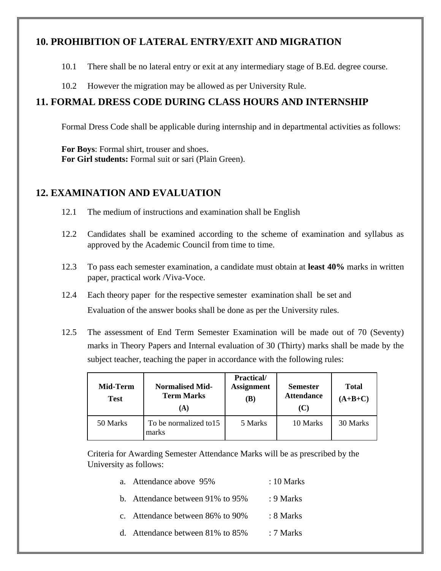## **10. PROHIBITION OF LATERAL ENTRY/EXIT AND MIGRATION**

- 10.1 There shall be no lateral entry or exit at any intermediary stage of B.Ed. degree course.
- 10.2 However the migration may be allowed as per University Rule.

# **11. FORMAL DRESS CODE DURING CLASS HOURS AND INTERNSHIP**

Formal Dress Code shall be applicable during internship and in departmental activities as follows:

**For Boys**: Formal shirt, trouser and shoes. **For Girl students:** Formal suit or sari (Plain Green).

### **12. EXAMINATION AND EVALUATION**

- 12.1 The medium of instructions and examination shall be English
- 12.2 Candidates shall be examined according to the scheme of examination and syllabus as approved by the Academic Council from time to time.
- 12.3 To pass each semester examination, a candidate must obtain at **least 40%** marks in written paper, practical work /Viva-Voce.
- 12.4 Each theory paper for the respective semester examination shall be set and Evaluation of the answer books shall be done as per the University rules.
- 12.5 The assessment of End Term Semester Examination will be made out of 70 (Seventy) marks in Theory Papers and Internal evaluation of 30 (Thirty) marks shall be made by the subject teacher, teaching the paper in accordance with the following rules:

| Mid-Term<br><b>Test</b> | <b>Normalised Mid-</b><br><b>Term Marks</b><br>(A) | <b>Practical/</b><br><b>Assignment</b><br>(B) | <b>Semester</b><br><b>Attendance</b><br>(C) | <b>Total</b><br>$(A+B+C)$ |
|-------------------------|----------------------------------------------------|-----------------------------------------------|---------------------------------------------|---------------------------|
| 50 Marks                | To be normalized to 15<br>marks                    | 5 Marks                                       | 10 Marks                                    | 30 Marks                  |

Criteria for Awarding Semester Attendance Marks will be as prescribed by the University as follows:

|                                  | 1.01111111  |
|----------------------------------|-------------|
| b. Attendance between 91% to 95% | : $9$ Marks |
| c. Attendance between 86% to 90% | : 8 Marks   |
| d. Attendance between 81% to 85% | : 7 Marks   |

a. Attendance above 95% : 10 Marks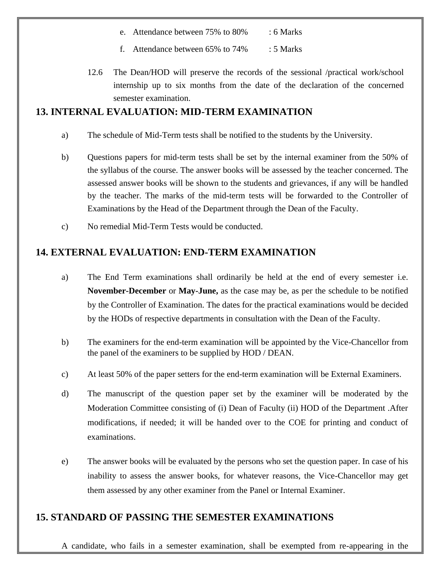| e. Attendance between 75% to 80%<br>$: 6$ Marks |  |
|-------------------------------------------------|--|
|-------------------------------------------------|--|

- f. Attendance between 65% to 74% : 5 Marks
- 12.6 The Dean/HOD will preserve the records of the sessional /practical work/school internship up to six months from the date of the declaration of the concerned semester examination.

#### **13. INTERNAL EVALUATION: MID-TERM EXAMINATION**

- a) The schedule of Mid-Term tests shall be notified to the students by the University.
- b) Questions papers for mid-term tests shall be set by the internal examiner from the 50% of the syllabus of the course. The answer books will be assessed by the teacher concerned. The assessed answer books will be shown to the students and grievances, if any will be handled by the teacher. The marks of the mid-term tests will be forwarded to the Controller of Examinations by the Head of the Department through the Dean of the Faculty.
- c) No remedial Mid-Term Tests would be conducted.

## **14. EXTERNAL EVALUATION: END-TERM EXAMINATION**

- a) The End Term examinations shall ordinarily be held at the end of every semester i.e. **November-December** or **May-June,** as the case may be, as per the schedule to be notified by the Controller of Examination. The dates for the practical examinations would be decided by the HODs of respective departments in consultation with the Dean of the Faculty.
- b) The examiners for the end-term examination will be appointed by the Vice-Chancellor from the panel of the examiners to be supplied by HOD / DEAN.
- c) At least 50% of the paper setters for the end-term examination will be External Examiners.
- d) The manuscript of the question paper set by the examiner will be moderated by the Moderation Committee consisting of (i) Dean of Faculty (ii) HOD of the Department .After modifications, if needed; it will be handed over to the COE for printing and conduct of examinations.
- e) The answer books will be evaluated by the persons who set the question paper. In case of his inability to assess the answer books, for whatever reasons, the Vice-Chancellor may get them assessed by any other examiner from the Panel or Internal Examiner.

# **15. STANDARD OF PASSING THE SEMESTER EXAMINATIONS**

A candidate, who fails in a semester examination, shall be exempted from re-appearing in the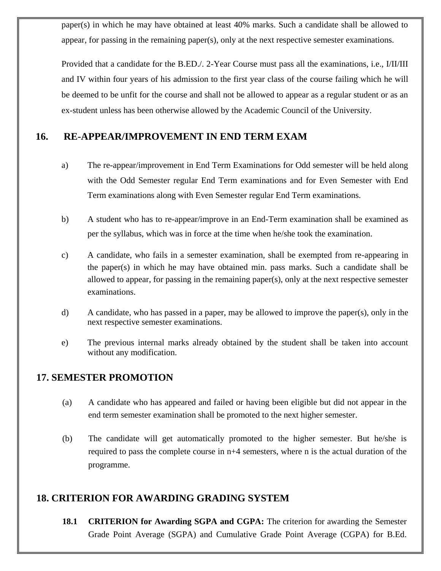paper(s) in which he may have obtained at least 40% marks. Such a candidate shall be allowed to appear, for passing in the remaining paper(s), only at the next respective semester examinations.

Provided that a candidate for the B.ED./. 2-Year Course must pass all the examinations, i.e., I/II/III and IV within four years of his admission to the first year class of the course failing which he will be deemed to be unfit for the course and shall not be allowed to appear as a regular student or as an ex-student unless has been otherwise allowed by the Academic Council of the University.

#### **16. RE-APPEAR/IMPROVEMENT IN END TERM EXAM**

- a) The re-appear/improvement in End Term Examinations for Odd semester will be held along with the Odd Semester regular End Term examinations and for Even Semester with End Term examinations along with Even Semester regular End Term examinations.
- b) A student who has to re-appear/improve in an End-Term examination shall be examined as per the syllabus, which was in force at the time when he/she took the examination.
- c) A candidate, who fails in a semester examination, shall be exempted from re-appearing in the paper(s) in which he may have obtained min. pass marks. Such a candidate shall be allowed to appear, for passing in the remaining paper(s), only at the next respective semester examinations.
- d) A candidate, who has passed in a paper, may be allowed to improve the paper(s), only in the next respective semester examinations.
- e) The previous internal marks already obtained by the student shall be taken into account without any modification.

#### **17. SEMESTER PROMOTION**

- (a) A candidate who has appeared and failed or having been eligible but did not appear in the end term semester examination shall be promoted to the next higher semester.
- (b) The candidate will get automatically promoted to the higher semester. But he/she is required to pass the complete course in n+4 semesters, where n is the actual duration of the programme.

#### **18. CRITERION FOR AWARDING GRADING SYSTEM**

**18.1 CRITERION for Awarding SGPA and CGPA:** The criterion for awarding the Semester Grade Point Average (SGPA) and Cumulative Grade Point Average (CGPA) for B.Ed.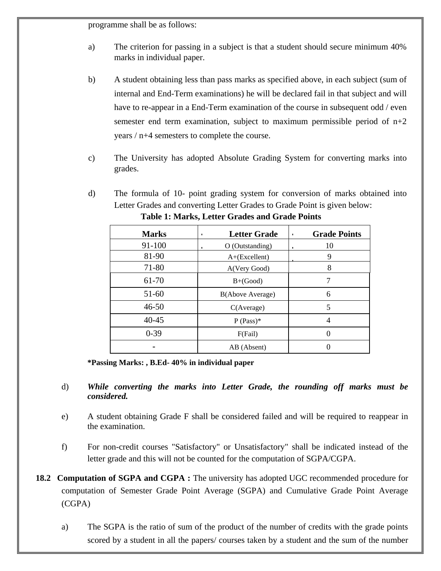programme shall be as follows:

- a) The criterion for passing in a subject is that a student should secure minimum 40% marks in individual paper.
- b) A student obtaining less than pass marks as specified above, in each subject (sum of internal and End-Term examinations) he will be declared fail in that subject and will have to re-appear in a End-Term examination of the course in subsequent odd / even semester end term examination, subject to maximum permissible period of  $n+2$ years / n+4 semesters to complete the course.
- c) The University has adopted Absolute Grading System for converting marks into grades.
- d) The formula of 10- point grading system for conversion of marks obtained into Letter Grades and converting Letter Grades to Grade Point is given below:

| <b>Marks</b> | <b>Letter Grade</b> | <b>Grade Points</b><br>$\blacksquare$ |  |
|--------------|---------------------|---------------------------------------|--|
| 91-100       | O (Outstanding)     | 10                                    |  |
| 81-90        | $A+(Excellent)$     | 9                                     |  |
| 71-80        | A(Very Good)        | 8                                     |  |
| 61-70        | $B+(Good)$          |                                       |  |
| 51-60        | B(Above Average)    | 6                                     |  |
| $46 - 50$    | C(Average)          | 5                                     |  |
| $40 - 45$    | $P$ (Pass)*         | 4                                     |  |
| $0-39$       | F(Fail)             | 0                                     |  |
|              | AB (Absent)         |                                       |  |

**Table 1: Marks, Letter Grades and Grade Points**

**\*Passing Marks: , B.Ed- 40% in individual paper**

- d) *While converting the marks into Letter Grade, the rounding off marks must be considered.*
- e) A student obtaining Grade F shall be considered failed and will be required to reappear in the examination.
- f) For non-credit courses "Satisfactory" or Unsatisfactory" shall be indicated instead of the letter grade and this will not be counted for the computation of SGPA/CGPA.
- **18.2 Computation of SGPA and CGPA :** The university has adopted UGC recommended procedure for computation of Semester Grade Point Average (SGPA) and Cumulative Grade Point Average (CGPA)
	- a) The SGPA is the ratio of sum of the product of the number of credits with the grade points scored by a student in all the papers/ courses taken by a student and the sum of the number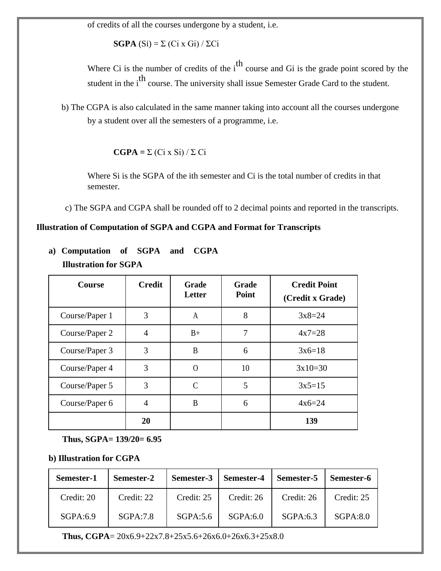of credits of all the courses undergone by a student, i.e.

**SGPA**  $(Si) = \sum (Ci \times Gi) / \sum Ci$ 

Where Ci is the number of credits of the  $i<sup>th</sup>$  course and Gi is the grade point scored by the student in the i<sup>th</sup> course. The university shall issue Semester Grade Card to the student.

b) The CGPA is also calculated in the same manner taking into account all the courses undergone by a student over all the semesters of a programme, i.e.

 $\mathbf{CGPA} = \Sigma (\text{Ci } x \text{ Si}) / \Sigma \text{ Ci}$ 

Where Si is the SGPA of the ith semester and Ci is the total number of credits in that semester.

c) The SGPA and CGPA shall be rounded off to 2 decimal points and reported in the transcripts.

#### **Illustration of Computation of SGPA and CGPA and Format for Transcripts**

| a) Computation of SGPA and CGPA |  |  |  |  |  |  |  |
|---------------------------------|--|--|--|--|--|--|--|
| <b>Illustration for SGPA</b>    |  |  |  |  |  |  |  |
|                                 |  |  |  |  |  |  |  |

| <b>Course</b>  | <b>Credit</b> | Grade<br>Letter | Grade<br>Point | <b>Credit Point</b><br>(Credit x Grade) |
|----------------|---------------|-----------------|----------------|-----------------------------------------|
| Course/Paper 1 | 3             | A               | 8              | $3x8=24$                                |
| Course/Paper 2 | 4             | $B+$            | 7              | $4x7=28$                                |
| Course/Paper 3 | 3             | B               | 6              | $3x6=18$                                |
| Course/Paper 4 | 3             | $\Omega$        | 10             | $3x10=30$                               |
| Course/Paper 5 | 3             | $\mathcal{C}$   | 5              | $3x5=15$                                |
| Course/Paper 6 | 4             | B               | 6              | $4x6=24$                                |
|                | 20            |                 |                | 139                                     |

**Thus, SGPA= 139/20= 6.95**

#### **b) Illustration for CGPA**

| Semester-1 | Semester-2 | Semester-3   Semester-4 |            | Semester-5 | Semester-6 |
|------------|------------|-------------------------|------------|------------|------------|
| Credit: 20 | Credit: 22 | Credit: 25              | Credit: 26 | Credit: 26 | Credit: 25 |
| SGPA:6.9   | SGPA:7.8   | SGPA:5.6                | SGPA:6.0   | SGPA:6.3   | SGPA:8.0   |

**Thus, CGPA**= 20x6.9+22x7.8+25x5.6+26x6.0+26x6.3+25x8.0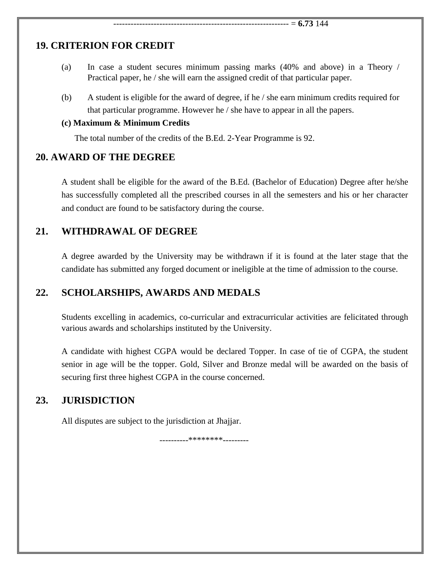#### **19. CRITERION FOR CREDIT**

- (a) In case a student secures minimum passing marks (40% and above) in a Theory / Practical paper, he / she will earn the assigned credit of that particular paper.
- (b) A student is eligible for the award of degree, if he / she earn minimum credits required for that particular programme. However he / she have to appear in all the papers.

#### **(c) Maximum & Minimum Credits**

The total number of the credits of the B.Ed. 2-Year Programme is 92.

#### **20. AWARD OF THE DEGREE**

A student shall be eligible for the award of the B.Ed. (Bachelor of Education) Degree after he/she has successfully completed all the prescribed courses in all the semesters and his or her character and conduct are found to be satisfactory during the course.

### **21. WITHDRAWAL OF DEGREE**

A degree awarded by the University may be withdrawn if it is found at the later stage that the candidate has submitted any forged document or ineligible at the time of admission to the course.

### **22. SCHOLARSHIPS, AWARDS AND MEDALS**

Students excelling in academics, co-curricular and extracurricular activities are felicitated through various awards and scholarships instituted by the University.

A candidate with highest CGPA would be declared Topper. In case of tie of CGPA, the student senior in age will be the topper. Gold, Silver and Bronze medal will be awarded on the basis of securing first three highest CGPA in the course concerned.

### **23. JURISDICTION**

All disputes are subject to the jurisdiction at Jhajjar.

----------\*\*\*\*\*\*\*\*---------